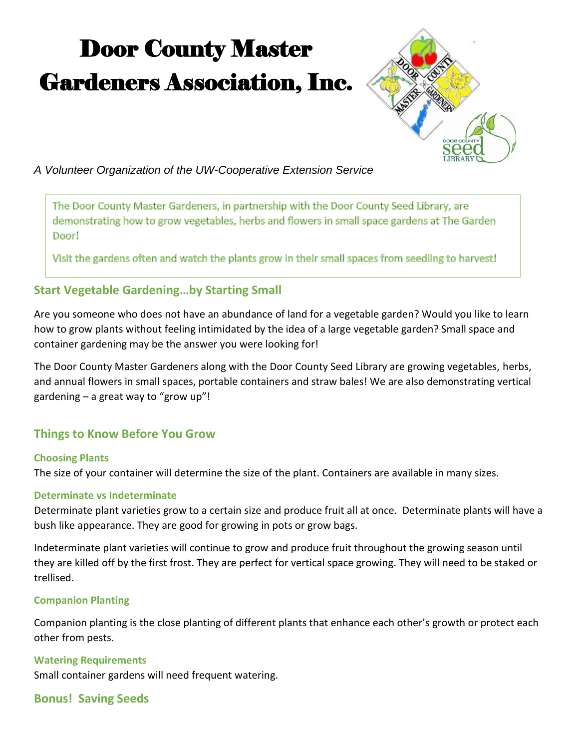# Door County Master Gardeners Association, Inc.



*A Volunteer Organization of the UW-Cooperative Extension Service*

The Door County Master Gardeners, in partnership with the Door County Seed Library, are demonstrating how to grow vegetables, herbs and flowers in small space gardens at The Garden Door!

Visit the gardens often and watch the plants grow in their small spaces from seedling to harvest!

# **Start Vegetable Gardening…by Starting Small**

Are you someone who does not have an abundance of land for a vegetable garden? Would you like to learn how to grow plants without feeling intimidated by the idea of a large vegetable garden? Small space and container gardening may be the answer you were looking for!

The Door County Master Gardeners along with the Door County Seed Library are growing vegetables, herbs, and annual flowers in small spaces, portable containers and straw bales! We are also demonstrating vertical gardening – a great way to "grow up"!

# **Things to Know Before You Grow**

## **Choosing Plants**

The size of your container will determine the size of the plant. Containers are available in many sizes.

## **Determinate vs Indeterminate**

Determinate plant varieties grow to a certain size and produce fruit all at once. Determinate plants will have a bush like appearance. They are good for growing in pots or grow bags.

Indeterminate plant varieties will continue to grow and produce fruit throughout the growing season until they are killed off by the first frost. They are perfect for vertical space growing. They will need to be staked or trellised.

#### **Companion Planting**

Companion planting is the close planting of different plants that enhance each other's growth or protect each other from pests.

#### **Watering Requirements**

Small container gardens will need frequent watering.

# **Bonus! Saving Seeds**